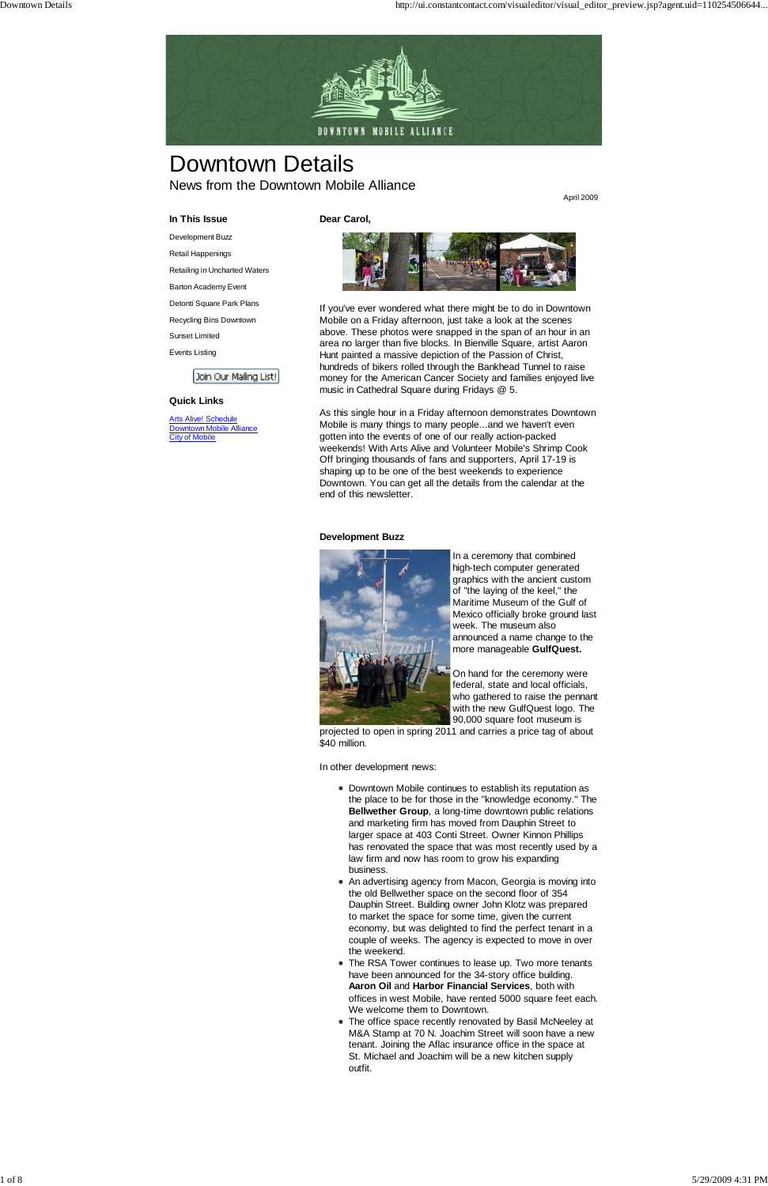

# Downtown Details

News from the Downtown Mobile Alliance

April 2009

### **In This Issue**

Development Buzz

Retail Happenings

Retailing in Uncharted Waters

Barton Academy Event

**Arts Alive! Schedule** Downtown Mobile Alliance City of Mobile

Detonti Square Park Plans

Recycling Bins Downtown

Sunset Limited

Events Listing

Join Our Mailing List!

### **Quick Links**

**Dear Carol,**

If you've ever wondered what there might be to do in Downtown Mobile on a Friday afternoon, just take a look at the scenes above. These photos were snapped in the span of an hour in an area no larger than five blocks. In Bienville Square, artist Aaron Hunt painted a massive depiction of the Passion of Christ, hundreds of bikers rolled through the Bankhead Tunnel to raise money for the American Cancer Society and families enjoyed live music in Cathedral Square during Fridays @ 5.

As this single hour in a Friday afternoon demonstrates Downtown Mobile is many things to many people...and we haven't even gotten into the events of one of our really action-packed weekends! With Arts Alive and Volunteer Mobile's Shrimp Cook Off bringing thousands of fans and supporters, April 17-19 is shaping up to be one of the best weekends to experience Downtown. You can get all the details from the calendar at the end of this newsletter.

### **Development Buzz**



In a ceremony that combined high-tech computer generated graphics with the ancient custom of "the laying of the keel," the Maritime Museum of the Gulf of Mexico officially broke ground last week. The museum also announced a name change to the more manageable **GulfQuest.**

On hand for the ceremony were federal, state and local officials, who gathered to raise the pennant with the new GulfQuest logo. The 90,000 square foot museum is

projected to open in spring 2011 and carries a price tag of about \$40 million.

In other development news:

Downtown Mobile continues to establish its reputation as the place to be for those in the "knowledge economy." The **Bellwether Group**, a long-time downtown public relations and marketing firm has moved from Dauphin Street to larger space at 403 Conti Street. Owner Kinnon Phillips has renovated the space that was most recently used by a law firm and now has room to grow his expanding business.

- 
- An advertising agency from Macon, Georgia is moving into the old Bellwether space on the second floor of 354 Dauphin Street. Building owner John Klotz was prepared to market the space for some time, given the current economy, but was delighted to find the perfect tenant in a couple of weeks. The agency is expected to move in over the weekend.
- The RSA Tower continues to lease up. Two more tenants have been announced for the 34-story office building. **Aaron Oil** and **Harbor Financial Services**, both with offices in west Mobile, have rented 5000 square feet each. We welcome them to Downtown.
- The office space recently renovated by Basil McNeeley at M&A Stamp at 70 N. Joachim Street will soon have a new tenant. Joining the Aflac insurance office in the space at St. Michael and Joachim will be a new kitchen supply outfit.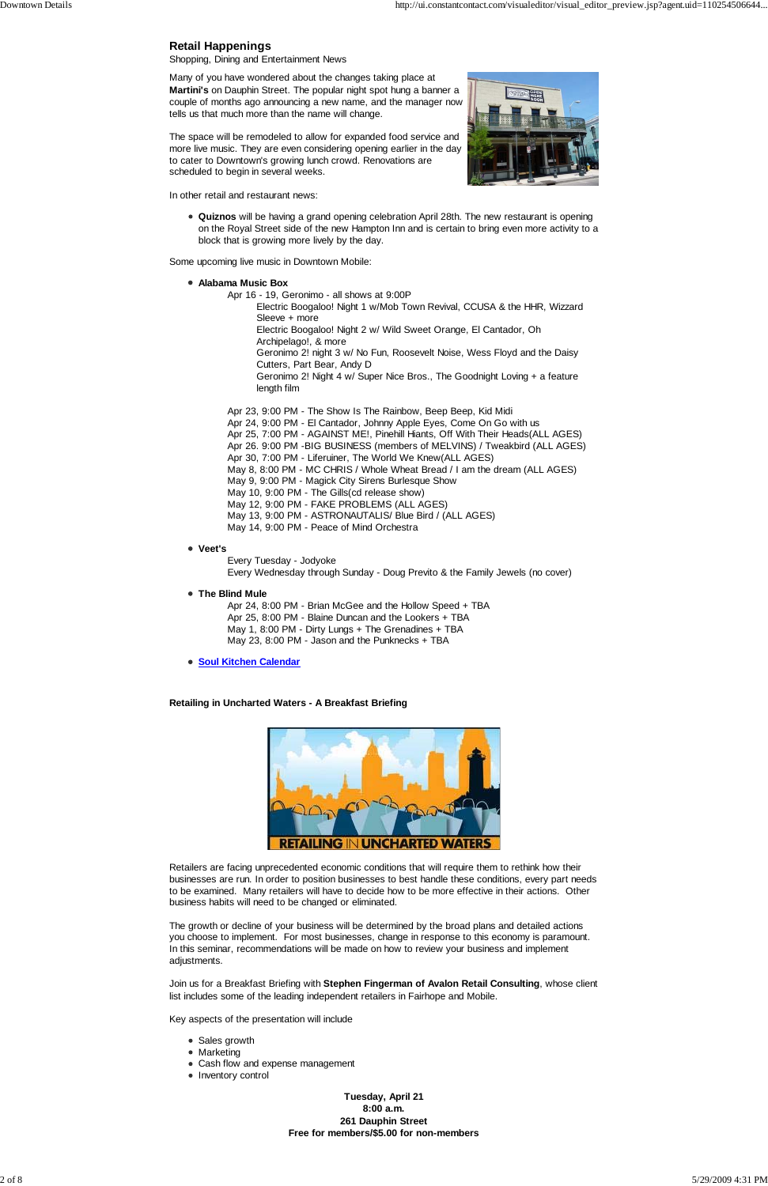### **Retail Happenings**

Shopping, Dining and Entertainment News

Many of you have wondered about the changes taking place at **Martini's** on Dauphin Street. The popular night spot hung a banner a couple of months ago announcing a new name, and the manager now tells us that much more than the name will change.

The space will be remodeled to allow for expanded food service and more live music. They are even considering opening earlier in the day to cater to Downtown's growing lunch crowd. Renovations are scheduled to begin in several weeks.

In other retail and restaurant news:



**Quiznos** will be having a grand opening celebration April 28th. The new restaurant is opening on the Royal Street side of the new Hampton Inn and is certain to bring even more activity to a block that is growing more lively by the day.

Some upcoming live music in Downtown Mobile:

**Alabama Music Box**

Apr 16 - 19, Geronimo - all shows at 9:00P

Electric Boogaloo! Night 1 w/Mob Town Revival, CCUSA & the HHR, Wizzard Sleeve + more

Electric Boogaloo! Night 2 w/ Wild Sweet Orange, El Cantador, Oh

Archipelago!, & more

Geronimo 2! night 3 w/ No Fun, Roosevelt Noise, Wess Floyd and the Daisy Cutters, Part Bear, Andy D

Geronimo 2! Night 4 w/ Super Nice Bros., The Goodnight Loving + a feature length film

- Apr 23, 9:00 PM The Show Is The Rainbow, Beep Beep, Kid Midi Apr 24, 9:00 PM - El Cantador, Johnny Apple Eyes, Come On Go with us
- Apr 25, 7:00 PM AGAINST ME!, Pinehill Hiants, Off With Their Heads(ALL AGES)
- Apr 26. 9:00 PM -BIG BUSINESS (members of MELVINS) / Tweakbird (ALL AGES)
- Apr 30, 7:00 PM Liferuiner, The World We Knew(ALL AGES)
- May 8, 8:00 PM MC CHRIS / Whole Wheat Bread / I am the dream (ALL AGES)
- May 9, 9:00 PM Magick City Sirens Burlesque Show
- May 10, 9:00 PM The Gills(cd release show)
- May 12, 9:00 PM FAKE PROBLEMS (ALL AGES)
- May 13, 9:00 PM ASTRONAUTALIS/ Blue Bird / (ALL AGES)
- May 14, 9:00 PM Peace of Mind Orchestra
- **Veet's**

Every Tuesday - Jodyoke Every Wednesday through Sunday - Doug Previto & the Family Jewels (no cover)

**The Blind Mule**

Apr 24, 8:00 PM - Brian McGee and the Hollow Speed + TBA Apr 25, 8:00 PM - Blaine Duncan and the Lookers + TBA May 1, 8:00 PM - Dirty Lungs + The Grenadines + TBA May 23, 8:00 PM - Jason and the Punknecks + TBA

**• Soul Kitchen Calendar** 

**Retailing in Uncharted Waters - A Breakfast Briefing**



Retailers are facing unprecedented economic conditions that will require them to rethink how their

businesses are run. In order to position businesses to best handle these conditions, every part needs to be examined. Many retailers will have to decide how to be more effective in their actions. Other business habits will need to be changed or eliminated.

The growth or decline of your business will be determined by the broad plans and detailed actions you choose to implement. For most businesses, change in response to this economy is paramount. In this seminar, recommendations will be made on how to review your business and implement adjustments.

Join us for a Breakfast Briefing with **Stephen Fingerman of Avalon Retail Consulting**, whose client list includes some of the leading independent retailers in Fairhope and Mobile.

Key aspects of the presentation will include

- Sales growth
- Marketing
- Cash flow and expense management
- Inventory control

**Tuesday, April 21 8:00 a.m. 261 Dauphin Street Free for members/\$5.00 for non-members**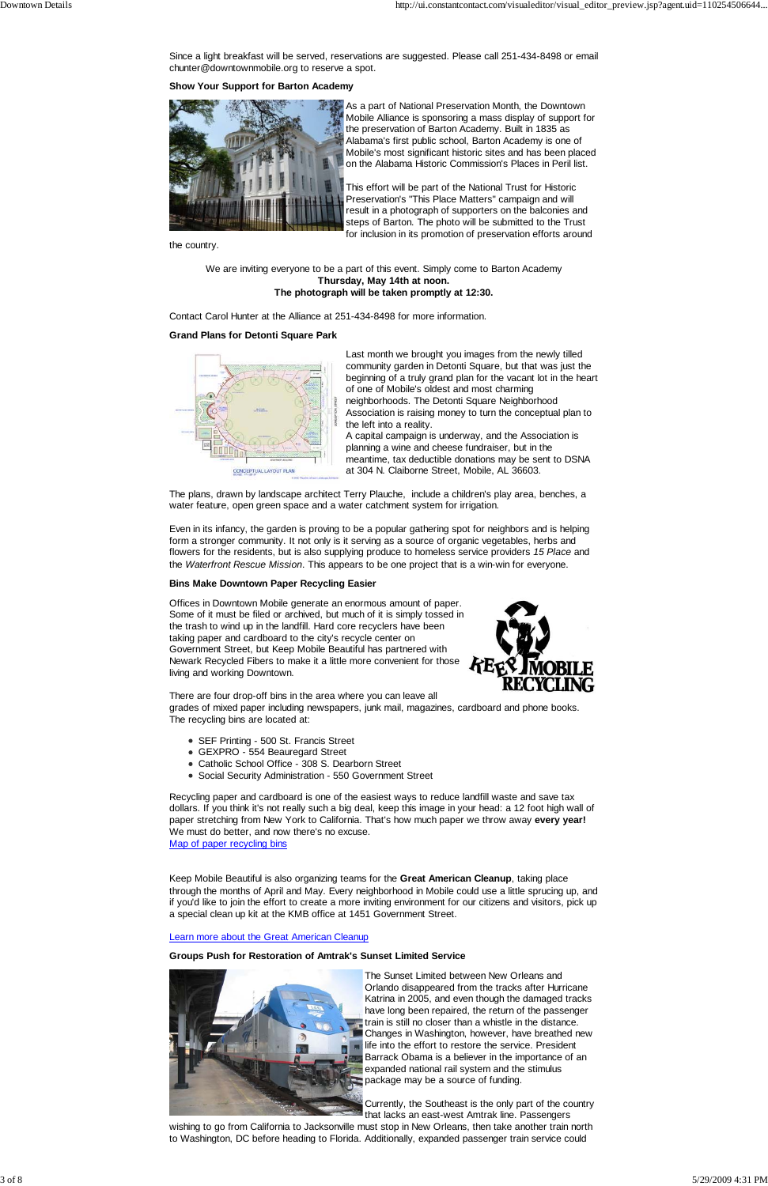Since a light breakfast will be served, reservations are suggested. Please call 251-434-8498 or email chunter@downtownmobile.org to reserve a spot.

**Show Your Support for Barton Academy**



As a part of National Preservation Month, the Downtown Mobile Alliance is sponsoring a mass display of support for the preservation of Barton Academy. Built in 1835 as Alabama's first public school, Barton Academy is one of Mobile's most significant historic sites and has been placed on the Alabama Historic Commission's Places in Peril list.

This effort will be part of the National Trust for Historic Preservation's "This Place Matters" campaign and will result in a photograph of supporters on the balconies and steps of Barton. The photo will be submitted to the Trust for inclusion in its promotion of preservation efforts around

the country.

We are inviting everyone to be a part of this event. Simply come to Barton Academy **Thursday, May 14th at noon. The photograph will be taken promptly at 12:30.**

Contact Carol Hunter at the Alliance at 251-434-8498 for more information.

### **Grand Plans for Detonti Square Park**



Last month we brought you images from the newly tilled community garden in Detonti Square, but that was just the beginning of a truly grand plan for the vacant lot in the heart of one of Mobile's oldest and most charming neighborhoods. The Detonti Square Neighborhood Association is raising money to turn the conceptual plan to the left into a reality.

A capital campaign is underway, and the Association is planning a wine and cheese fundraiser, but in the meantime, tax deductible donations may be sent to DSNA at 304 N. Claiborne Street, Mobile, AL 36603.

The plans, drawn by landscape architect Terry Plauche, include a children's play area, benches, a water feature, open green space and a water catchment system for irrigation.

Even in its infancy, the garden is proving to be a popular gathering spot for neighbors and is helping form a stronger community. It not only is it serving as a source of organic vegetables, herbs and flowers for the residents, but is also supplying produce to homeless service providers *15 Place* and the *Waterfront Rescue Mission*. This appears to be one project that is a win-win for everyone.

### **Bins Make Downtown Paper Recycling Easier**

Offices in Downtown Mobile generate an enormous amount of paper. Some of it must be filed or archived, but much of it is simply tossed in the trash to wind up in the landfill. Hard core recyclers have been taking paper and cardboard to the city's recycle center on Government Street, but Keep Mobile Beautiful has partnered with Newark Recycled Fibers to make it a little more convenient for those living and working Downtown.



There are four drop-off bins in the area where you can leave all grades of mixed paper including newspapers, junk mail, magazines, cardboard and phone books. The recycling bins are located at:

- SEF Printing 500 St. Francis Street
- GEXPRO 554 Beauregard Street
- Catholic School Office 308 S. Dearborn Street
- Social Security Administration 550 Government Street

Recycling paper and cardboard is one of the easiest ways to reduce landfill waste and save tax dollars. If you think it's not really such a big deal, keep this image in your head: a 12 foot high wall of paper stretching from New York to California. That's how much paper we throw away **every year!**  We must do better, and now there's no excuse. Map of paper recycling bins

Keep Mobile Beautiful is also organizing teams for the **Great American Cleanup**, taking place through the months of April and May. Every neighborhood in Mobile could use a little sprucing up, and if you'd like to join the effort to create a more inviting environment for our citizens and visitors, pick up a special clean up kit at the KMB office at 1451 Government Street.

#### Learn more about the Great American Cleanup

### **Groups Push for Restoration of Amtrak's Sunset Limited Service**



The Sunset Limited between New Orleans and Orlando disappeared from the tracks after Hurricane Katrina in 2005, and even though the damaged tracks have long been repaired, the return of the passenger train is still no closer than a whistle in the distance. Changes in Washington, however, have breathed new life into the effort to restore the service. President Barrack Obama is a believer in the importance of an expanded national rail system and the stimulus package may be a source of funding.

Currently, the Southeast is the only part of the country that lacks an east-west Amtrak line. Passengers

wishing to go from California to Jacksonville must stop in New Orleans, then take another train north to Washington, DC before heading to Florida. Additionally, expanded passenger train service could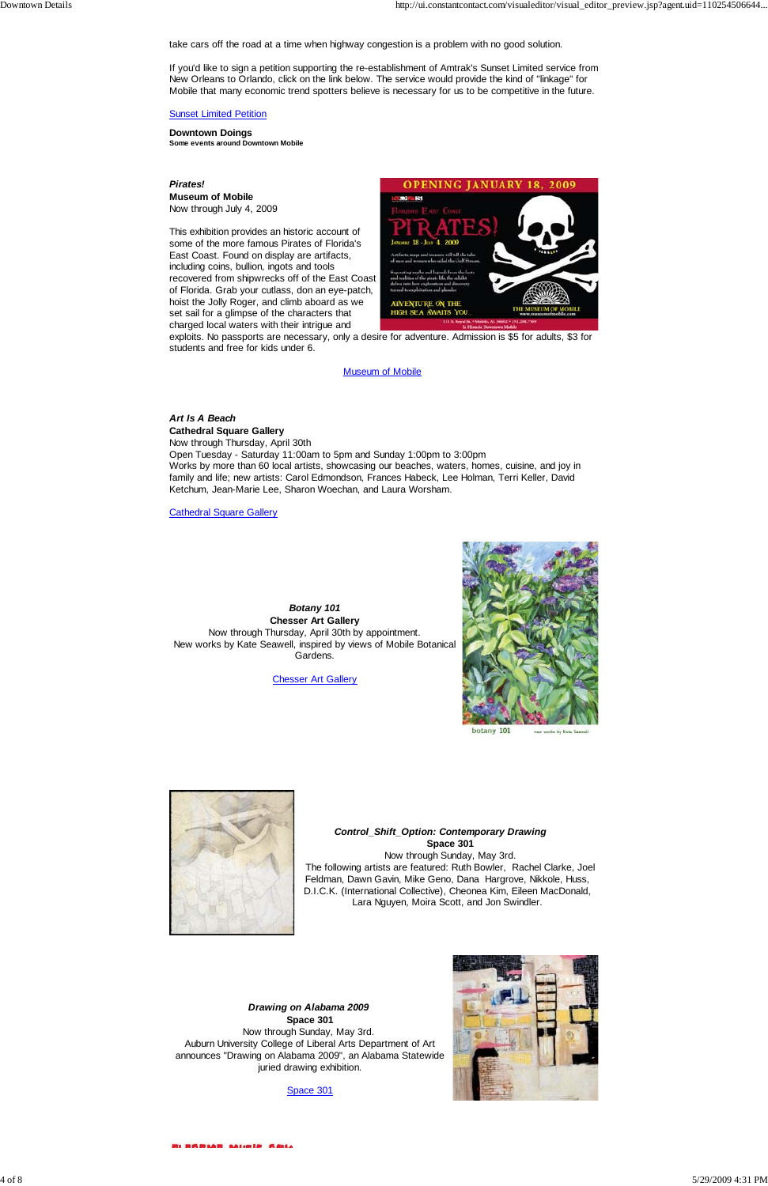take cars off the road at a time when highway congestion is a problem with no good solution.

If you'd like to sign a petition supporting the re-establishment of Amtrak's Sunset Limited service from New Orleans to Orlando, click on the link below. The service would provide the kind of "linkage" for Mobile that many economic trend spotters believe is necessary for us to be competitive in the future.

### **Sunset Limited Petition**

**Downtown Doings Some events around Downtown Mobile**

### *Pirates!* **Museum of Mobile** Now through July 4, 2009

This exhibition provides an historic account of some of the more famous Pirates of Florida's East Coast. Found on display are artifacts, including coins, bullion, ingots and tools recovered from shipwrecks off of the East Coast of Florida. Grab your cutlass, don an eye-patch, hoist the Jolly Roger, and climb aboard as we set sail for a glimpse of the characters that charged local waters with their intrigue and



exploits. No passports are necessary, only a desire for adventure. Admission is \$5 for adults, \$3 for students and free for kids under 6.

### **Museum of Mobile**

### *Art Is A Beach* **Cathedral Square Gallery**

Now through Thursday, April 30th Open Tuesday - Saturday 11:00am to 5pm and Sunday 1:00pm to 3:00pm Works by more than 60 local artists, showcasing our beaches, waters, homes, cuisine, and joy in family and life; new artists: Carol Edmondson, Frances Habeck, Lee Holman, Terri Keller, David Ketchum, Jean-Marie Lee, Sharon Woechan, and Laura Worsham.

Cathedral Square Gallery

*Botany 101* **Chesser Art Gallery** Now through Thursday, April 30th by appointment. New works by Kate Seawell, inspired by views of Mobile Botanical Gardens.

**Chesser Art Gallery** 

![](_page_3_Picture_16.jpeg)

![](_page_3_Picture_18.jpeg)

 *Control\_Shift\_Option: Contemporary Drawing* **Space 301** Now through Sunday, May 3rd. The following artists are featured: Ruth Bowler, Rachel Clarke, Joel

Feldman, Dawn Gavin, Mike Geno, Dana Hargrove, Nikkole, Huss, D.I.C.K. (International Collective), Cheonea Kim, Eileen MacDonald, Lara Nguyen, Moira Scott, and Jon Swindler.

*Drawing on Alabama 2009* **Space 301** Now through Sunday, May 3rd. Auburn University College of Liberal Arts Department of Art announces "Drawing on Alabama 2009", an Alabama Statewide juried drawing exhibition.

Space 301

![](_page_3_Picture_23.jpeg)

INSHAM Abiels Said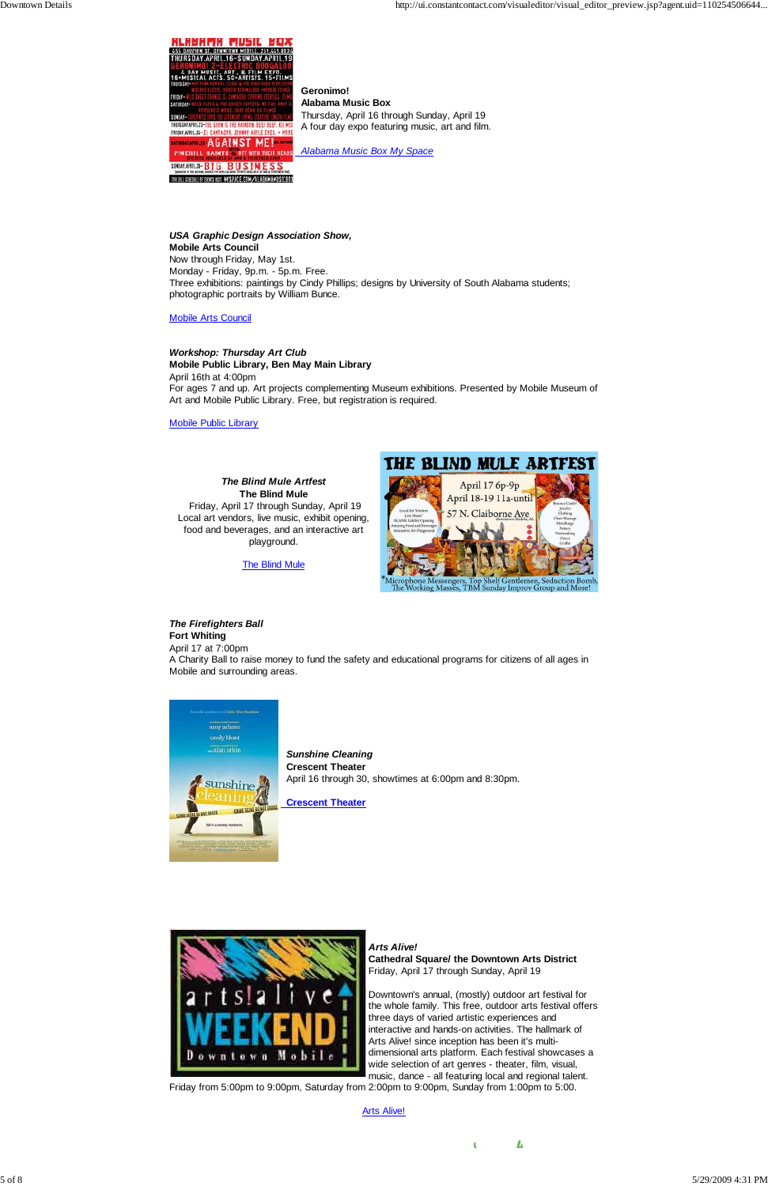![](_page_4_Picture_2.jpeg)

 **Geronimo! Alabama Music Box** Thursday, April 16 through Sunday, April 19 A four day expo featuring music, art and film.

 *Alabama Music Box My Space*

*USA Graphic Design Association Show,* **Mobile Arts Council** Now through Friday, May 1st. Monday - Friday, 9p.m. - 5p.m. Free. Three exhibitions: paintings by Cindy Phillips; designs by University of South Alabama students; photographic portraits by William Bunce.

Mobile Arts Council

*Workshop: Thursday Art Club* **Mobile Public Library, Ben May Main Library** April 16th at 4:00pm For ages 7 and up. Art projects complementing Museum exhibitions. Presented by Mobile Museum of Art and Mobile Public Library. Free, but registration is required.

Mobile Public Library

*The Blind Mule Artfest* **The Blind Mule** Friday, April 17 through Sunday, April 19 Local art vendors, live music, exhibit opening, food and beverages, and an interactive art playground.

**The Blind Mule** 

![](_page_4_Picture_11.jpeg)

**Fort Whiting** April 17 at 7:00pm

A Charity Ball to raise money to fund the safety and educational programs for citizens of all ages in Mobile and surrounding areas.

![](_page_4_Picture_14.jpeg)

 *Sunshine Cleaning*  **Crescent Theater** April 16 through 30, showtimes at 6:00pm and 8:30pm.

 **Crescent Theater**

![](_page_4_Picture_17.jpeg)

*Arts Alive!* **Cathedral Square/ the Downtown Arts District** Friday, April 17 through Sunday, April 19

THE BLIND MULE ARTFEST

April 17 6p-9p April 18-19 11a-until 57 N. Claiborne Ave

phone Messengers, Top Shelf Gentlemen, Seduction Bom<br>Working Masses, TBM Sunday Improv Group and More!

Downtown's annual, (mostly) outdoor art festival for the whole family. This free, outdoor arts festival offers three days of varied artistic experiences and interactive and hands-on activities. The hallmark of Arts Alive! since inception has been it's multidimensional arts platform. Each festival showcases a wide selection of art genres - theater, film, visual, music, dance - all featuring local and regional talent.

 $\mathbf{t}$ 

 $\blacktriangle$ 

Friday from 5:00pm to 9:00pm, Saturday from 2:00pm to 9:00pm, Sunday from 1:00pm to 5:00.

Arts Alive!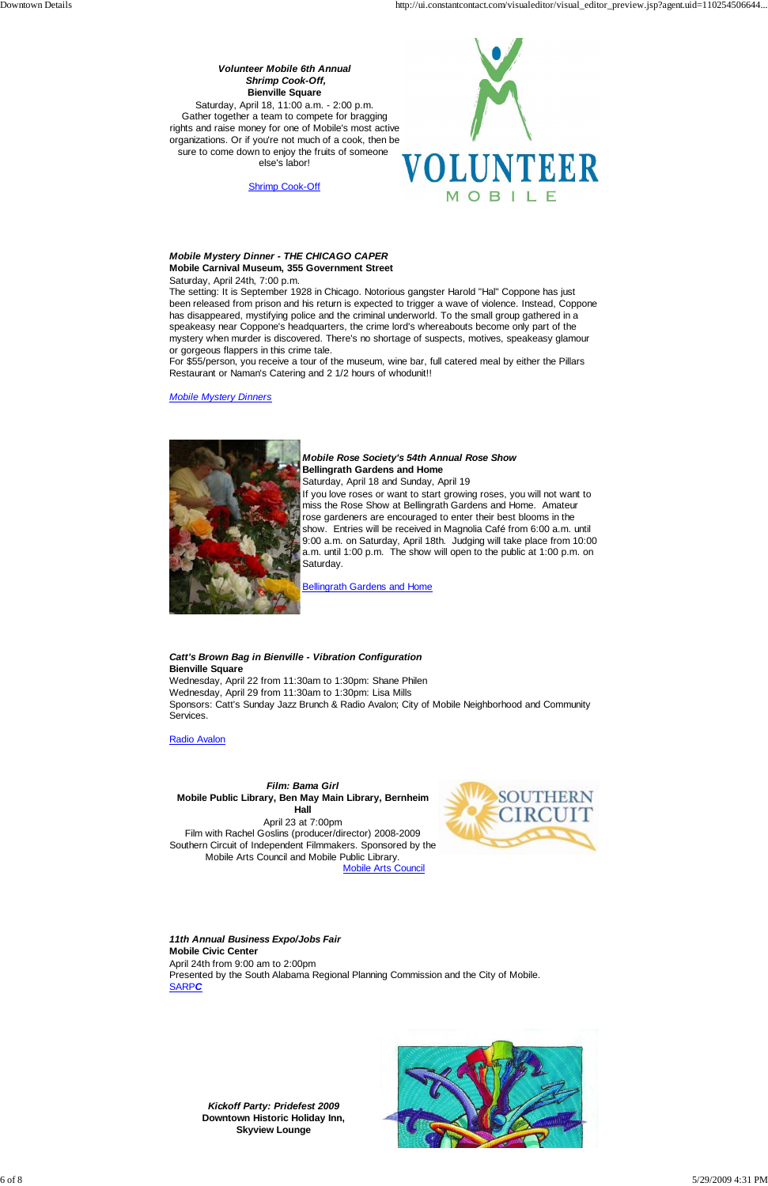## *Volunteer Mobile 6th Annual Shrimp Cook-Off,* **Bienville Square**

Saturday, April 18, 11:00 a.m. - 2:00 p.m. Gather together a team to compete for bragging rights and raise money for one of Mobile's most active organizations. Or if you're not much of a cook, then be sure to come down to enjoy the fruits of someone else's labor!

![](_page_5_Picture_4.jpeg)

Shrimp Cook-Off

### *Mobile Mystery Dinner - THE CHICAGO CAPER* **Mobile Carnival Museum, 355 Government Street**

Saturday, April 24th, 7:00 p.m.

The setting: It is September 1928 in Chicago. Notorious gangster Harold "Hal" Coppone has just been released from prison and his return is expected to trigger a wave of violence. Instead, Coppone has disappeared, mystifying police and the criminal underworld. To the small group gathered in a speakeasy near Coppone's headquarters, the crime lord's whereabouts become only part of the mystery when murder is discovered. There's no shortage of suspects, motives, speakeasy glamour or gorgeous flappers in this crime tale.

For \$55/person, you receive a tour of the museum, wine bar, full catered meal by either the Pillars Restaurant or Naman's Catering and 2 1/2 hours of whodunit!!

### *Mobile Mystery Dinners*

![](_page_5_Picture_11.jpeg)

### *Mobile Rose Society's 54th Annual Rose Show* **Bellingrath Gardens and Home**

Saturday, April 18 and Sunday, April 19 If you love roses or want to start growing roses, you will not want to miss the Rose Show at Bellingrath Gardens and Home. Amateur rose gardeners are encouraged to enter their best blooms in the show. Entries will be received in Magnolia Café from 6:00 a.m. until 9:00 a.m. on Saturday, April 18th. Judging will take place from 10:00 a.m. until 1:00 p.m. The show will open to the public at 1:00 p.m. on Saturday.

Bellingrath Gardens and Home

### *Catt's Brown Bag in Bienville - Vibration Configuration* **Bienville Square**

Wednesday, April 22 from 11:30am to 1:30pm: Shane Philen Wednesday, April 29 from 11:30am to 1:30pm: Lisa Mills Sponsors: Catt's Sunday Jazz Brunch & Radio Avalon; City of Mobile Neighborhood and Community Services.

Radio Avalon

*Film: Bama Girl* **Mobile Public Library, Ben May Main Library, Bernheim Hall** April 23 at 7:00pm Film with Rachel Goslins (producer/director) 2008-2009 Southern Circuit of Independent Filmmakers. Sponsored by the Mobile Arts Council and Mobile Public Library.

![](_page_5_Picture_19.jpeg)

Mobile Arts Co

![](_page_5_Picture_21.jpeg)

### *11th Annual Business Expo/Jobs Fair* **Mobile Civic Center** April 24th from 9:00 am to 2:00pm Presented by the South Alabama Regional Planning Commission and the City of Mobile. SARP*C*

*Kickoff Party: Pridefest 2009* **Downtown Historic Holiday Inn, Skyview Lounge**

![](_page_5_Picture_24.jpeg)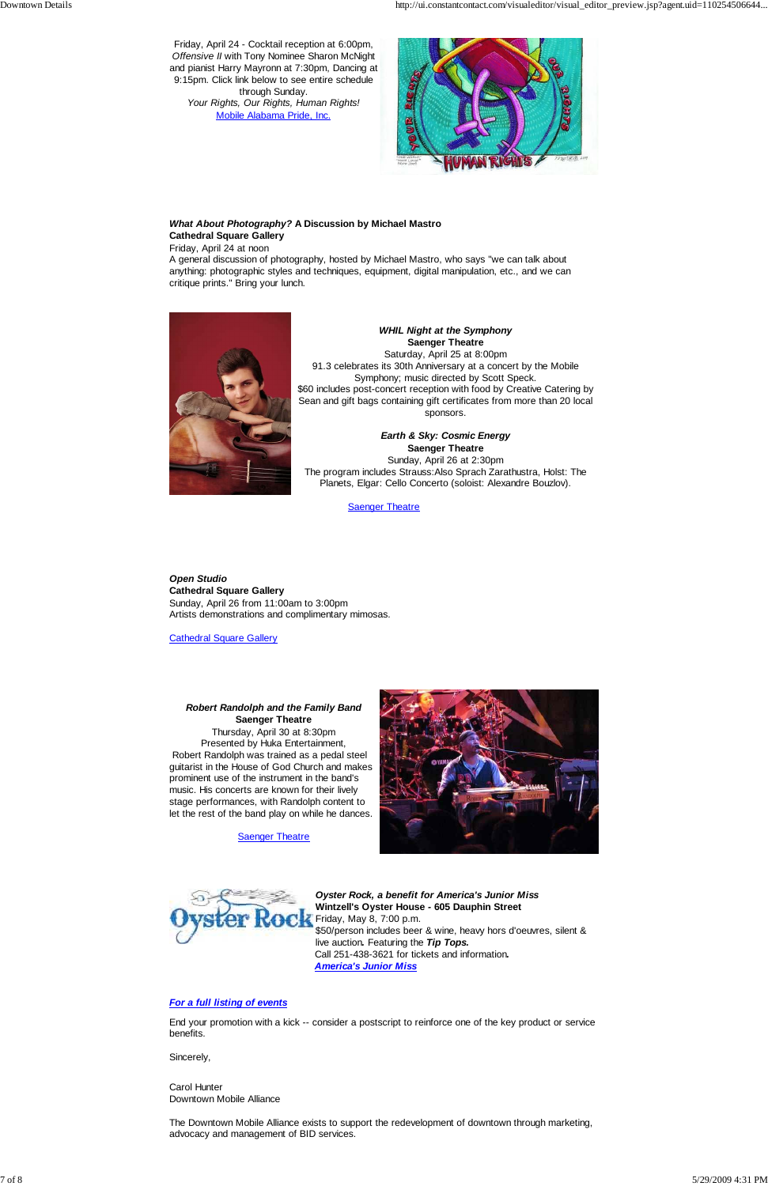Friday, April 24 - Cocktail reception at 6:00pm, *Offensive II* with Tony Nominee Sharon McNight and pianist Harry Mayronn at 7:30pm, Dancing at 9:15pm. Click link below to see entire schedule through Sunday.

*Your Rights, Our Rights, Human Rights!* Mobile Alabama Pride, Inc.

![](_page_6_Picture_4.jpeg)

### *What About Photography?* **A Discussion by Michael Mastro Cathedral Square Gallery**

Friday, April 24 at noon

A general discussion of photography, hosted by Michael Mastro, who says "we can talk about anything: photographic styles and techniques, equipment, digital manipulation, etc., and we can critique prints." Bring your lunch.

![](_page_6_Picture_8.jpeg)

*WHIL Night at the Symphony* **Saenger Theatre** Saturday, April 25 at 8:00pm

91.3 celebrates its 30th Anniversary at a concert by the Mobile Symphony; music directed by Scott Speck. \$60 includes post-concert reception with food by Creative Catering by Sean and gift bags containing gift certificates from more than 20 local sponsors.

### *Earth & Sky: Cosmic Energy* **Saenger Theatre** Sunday, April 26 at 2:30pm The program includes Strauss:Also Sprach Zarathustra, Holst: The Planets, Elgar: Cello Concerto (soloist: Alexandre Bouzlov).

**Saenger Theatre** 

*Open Studio* **Cathedral Square Gallery** Sunday, April 26 from 11:00am to 3:00pm Artists demonstrations and complimentary mimosas.

**Cathedral Square Gallery** 

### *Robert Randolph and the Family Band* **Saenger Theatre** Thursday, April 30 at 8:30pm

Presented by Huka Entertainment, Robert Randolph was trained as a pedal steel guitarist in the House of God Church and makes prominent use of the instrument in the band's music. His concerts are known for their lively stage performances, with Randolph content to let the rest of the band play on while he dances.

**Saenger Theatre** 

![](_page_6_Picture_18.jpeg)

![](_page_6_Picture_19.jpeg)

*Oyster Rock, a benefit for America's Junior Miss* **Wintzell's Oyster House** *-* **605 Dauphin Street** Friday, May 8, 7:00 p.m. \$50/person includes beer & wine, heavy hors d'oeuvres, silent & live auction*.* Featuring the *Tip Tops.* Call 251-438-3621 for tickets and information*. America's Junior Miss*

#### *For a full listing of events*

End your promotion with a kick -- consider a postscript to reinforce one of the key product or service benefits.

Sincerely,

Carol Hunter Downtown Mobile Alliance

The Downtown Mobile Alliance exists to support the redevelopment of downtown through marketing, advocacy and management of BID services.